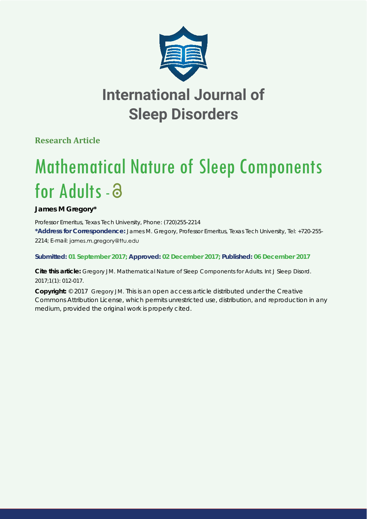

## **International Journal of Sleep Disorders**

**Research Article**

# Mathematical Nature of Sleep Components for Adults - a

**James M Gregory\***

*Professor Emeritus, Texas Tech University, Phone: (720)255-2214* **\*Address for Correspondence:** James M. Gregory, Professor Emeritus, Texas Tech University, Tel: +720-255- 2214; E-mail: james.m.gregory@ttu.edu

### **Submitted: 01 September 2017; Approved: 02 December 2017; Published: 06 December 2017**

**Cite this article:** Gregory JM. Mathematical Nature of Sleep Components for Adults. Int J Sleep Disord. 2017;1(1): 012-017.

**Copyright:** © 2017 Gregory JM. This is an open access article distributed under the Creative Commons Attribution License, which permits unrestricted use, distribution, and reproduction in any medium, provided the original work is properly cited.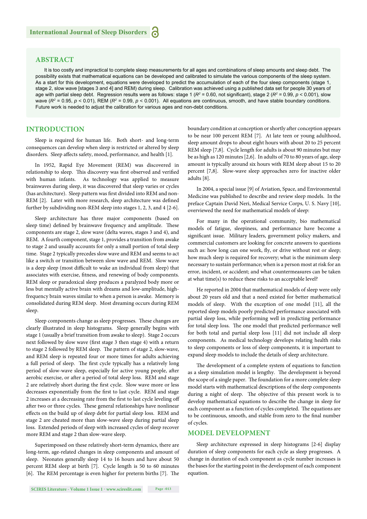#### **ABSTRACT**

It is too costly and impractical to complete sleep measurements for all ages and combinations of sleep amounts and sleep debt. The possibility exists that mathematical equations can be developed and calibrated to simulate the various components of the sleep system. As a start for this development, equations were developed to predict the accumulation of each of the four sleep components (stage 1, stage 2, slow wave [stages 3 and 4] and REM) during sleep. Calibration was achieved using a published data set for people 30 years of age with partial sleep debt. Regression results were as follows: stage 1 ( $R^2$  = 0.60, not significant), stage 2 ( $R^2$  = 0.99, *p* < 0.001), slow wave ( $R^2$  = 0.95,  $p$  < 0.01), REM ( $R^2$  = 0.99,  $p$  < 0.001). All equations are continuous, smooth, and have stable boundary conditions. Future work is needed to adjust the calibration for various ages and non-debt conditions.

#### **INTRODUCTION**

Sleep is required for human life. Both short- and long-term consequences can develop when sleep is restricted or altered by sleep disorders. Sleep affects safety, mood, performance, and health [1].

In 1952, Rapid Eye Movement (REM) was discovered in relationship to sleep. This discovery was first observed and verified with human infants. As technology was applied to measure brainwaves during sleep, it was discovered that sleep varies or cycles (has architecture). Sleep pattern was first divided into REM and non-REM [2]. Later with more research, sleep architecture was defined further by subdividing non-REM sleep into stages 1, 2, 3, and 4 [2-6].

Sleep architecture has three major components (based on sleep time) defined by brainwave frequency and amplitude. These components are stage 2, slow wave (delta waves, stages 3 and 4), and REM. A fourth component, stage 1, provides a transition from awake to stage 2 and usually accounts for only a small portion of total sleep time. Stage 2 typically precedes slow wave and REM and seems to act like a switch or transition between slow wave and REM. Slow wave is a deep sleep (most difficult to wake an individual from sleep) that associates with exercise, fitness, and renewing of body components. REM sleep or paradoxical sleep produces a paralyzed body more or less but mentally active brain with dreams and low-amplitude, highfrequency brain waves similar to when a person is awake. Memory is consolidated during REM sleep. Most dreaming occurs during REM sleep.

Sleep components change as sleep progresses. These changes are clearly illustrated in sleep histograms. Sleep generally begins with stage 1 (usually a brief transition from awake to sleep). Stage 2 occurs next followed by slow wave (first stage 3 then stage 4) with a return to stage 2 followed by REM sleep. The pattern of stage 2, slow-wave, and REM sleep is repeated four or more times for adults achieving a full period of sleep. The first cycle typically has a relatively long period of slow-wave sleep, especially for active young people, after aerobic exercise, or after a period of total sleep loss. REM and stage 2 are relatively short during the first cycle. Slow wave more or less decreases exponentially from the first to last cycle. REM and stage 2 increases at a decreasing rate from the first to last cycle leveling off after two or three cycles. These general relationships have nonlinear effects on the build up of sleep debt for partial sleep loss. REM and stage 2 are cheated more than slow-wave sleep during partial sleep loss. Extended periods of sleep with increased cycles of sleep recover more REM and stage 2 than slow-wave sleep.

Superimposed on these relatively short-term dynamics, there are long-term, age-related changes in sleep components and amount of sleep. Neonates generally sleep 14 to 16 hours and have about 50 percent REM sleep at birth [7]. Cycle length is 50 to 60 minutes [6]. The REM percentage is even higher for preterm births [7]. The boundary condition at conception or shortly after conception appears to be near 100 percent REM [7]. At late teen or young adulthood, sleep amount drops to about eight hours with about 20 to 25 percent REM sleep [7,8]. Cycle length for adults is about 90 minutes but may be as high as 120 minutes [2,6]. In adults of 70 to 80 years of age, sleep amount is typically around six hours with REM sleep about 15 to 20 percent [7,8]. Slow-wave sleep approaches zero for inactive older adults [8].

In 2004, a special issue [9] of Aviation, Space, and Environmental Medicine was published to describe and review sleep models. In the preface Captain David Neri, Medical Service Corps, U. S. Navy [10], overviewed the need for mathematical models of sleep:

For many in the operational community, bio mathematical models of fatigue, sleepiness, and performance have become a significant issue. Military leaders, government policy makers, and commercial customers are looking for concrete answers to questions such as: how long can one work, fly, or drive without rest or sleep; how much sleep is required for recovery; what is the minimum sleep necessary to sustain performance; when is a person most at risk for an error, incident, or accident; and what countermeasures can be taken at what time(s) to reduce these risks to an acceptable level?

He reported in 2004 that mathematical models of sleep were only about 20 years old and that a need existed for better mathematical models of sleep. With the exception of one model [11], all the reported sleep models poorly predicted performance associated with partial sleep loss, while performing well in predicting performance for total sleep loss. The one model that predicted performance well for both total and partial sleep loss [11] did not include all sleep components. As medical technology develops relating health risks to sleep components or loss of sleep components, it is important to expand sleep models to include the details of sleep architecture.

The development of a complete system of equations to function as a sleep simulation model is lengthy. The development is beyond the scope of a single paper. The foundation for a more complete sleep model starts with mathematical descriptions of the sleep components during a night of sleep. The objective of this present work is to develop mathematical equations to describe the change in sleep for each component as a function of cycles completed. The equations are to be continuous, smooth, and stable from zero to the final number of cycles.

#### **MODEL DEVELOPMENT**

Sleep architecture expressed in sleep histograms [2-6] display duration of sleep components for each cycle as sleep progresses. A change in duration of each component as cycle number increases is the bases for the starting point in the development of each component equation.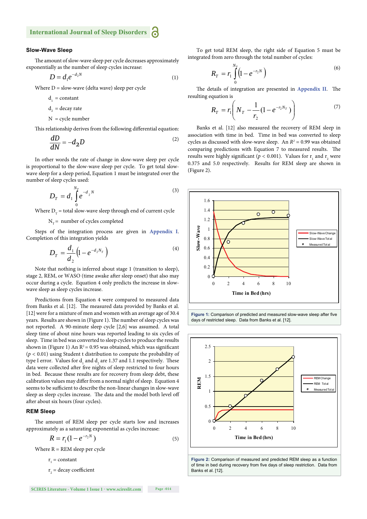#### **Slow-Wave Sleep**

The amount of slow-wave sleep per cycle decreases approximately exponentially as the number of sleep cycles increase:

$$
D = d_1 e^{-d_2 N} \tag{1}
$$

Where  $D =$  slow-wave (delta wave) sleep per cycle

$$
d_{1} = constant
$$

$$
d_2 = decay rate
$$

$$
N = cycle number
$$

This relationship derives from the following differential equation:

$$
\frac{dD}{dN} = -d_2 D \tag{2}
$$

In other words the rate of change in slow-wave sleep per cycle is proportional to the slow-wave sleep per cycle. To get total slowwave sleep for a sleep period, Equation 1 must be integrated over the number of sleep cycles used:

$$
D_T = d_1 \int_0^{N_T} e^{-d_2 N} \tag{3}
$$

Where  $D<sub>r</sub>$  = total slow-wave sleep through end of current cycle

#### $N_T$  = number of cycles completed

Steps of the integration process are given in **Appendix I**. Completion of this integration yields

$$
D_T = \frac{d_1}{d_2} (1 - e^{-d_2 N_T})
$$
\n(4)

Note that nothing is inferred about stage 1 (transition to sleep), stage 2, REM, or WASO (time awake after sleep onset) that also may occur during a cycle. Equation 4 only predicts the increase in slowwave sleep as sleep cycles increase.

Predictions from Equation 4 were compared to measured data from Banks et al. [12]. The measured data provided by Banks et al. [12] were for a mixture of men and women with an average age of 30.4 years. Results are shown in (Figure 1). The number of sleep cycles was not reported. A 90-minute sleep cycle [2,6] was assumed. A total sleep time of about nine hours was reported leading to six cycles of sleep. Time in bed was converted to sleep cycles to produce the results shown in (Figure 1) An  $R^2$  = 0.95 was obtained, which was significant (*p <* 0.01) using Student t distribution to compute the probability of type I error. Values for  $d_1$  and  $d_2$  are 1.37 and 1.1 respectively. These data were collected after five nights of sleep restricted to four hours in bed. Because these results are for recovery from sleep debt, these calibration values may differ from a normal night of sleep. Equation 4 seems to be sufficient to describe the non-linear changes in slow-wave sleep as sleep cycles increase. The data and the model both level off after about six hours (four cycles).

#### **REM Sleep**

The amount of REM sleep per cycle starts low and increases approximately as a saturating exponential as cycles increase:

$$
R = r_1 (1 - e^{-r_2 N})
$$
 (5)

Where  $R = REM$  sleep per cycle

 $r_1$  = constant

 $r<sub>2</sub>$  = decay coefficient

**SCIRES Literature - Volume 1 Issue 1 - www.scireslit.com Page -014**

To get total REM sleep, the right side of Equation 5 must be integrated from zero through the total number of cycles:

$$
R_T = r_1 \int_0^{N_T} \left( 1 - e^{-r_2 N} \right)
$$
 (6)

The details of integration are presented in **Appendix II**. The resulting equation is

$$
R_T = r_1 \left( N_T - \frac{1}{r_2} (1 - e^{-r_2 N_T}) \right) \tag{7}
$$

Banks et al. [12] also measured the recovery of REM sleep in association with time in bed. Time in bed was converted to sleep cycles as discussed with slow-wave sleep. An  $R^2 = 0.99$  was obtained comparing predictions with Equation 7 to measured results. The results were highly significant ( $p < 0.001$ ). Values for  $r_1$  and  $r_2$  were 0.375 and 5.0 respectively. Results for REM sleep are shown in (Figure 2).



Figure 1: Comparison of predicted and measured slow-wave sleep after five days of restricted sleep. Data from Banks et al. [12].



**Figure 2:** Comparison of measured and predicted REM sleep as a function of time in bed during recovery from five days of sleep restriction. Data from Banks et al. [12].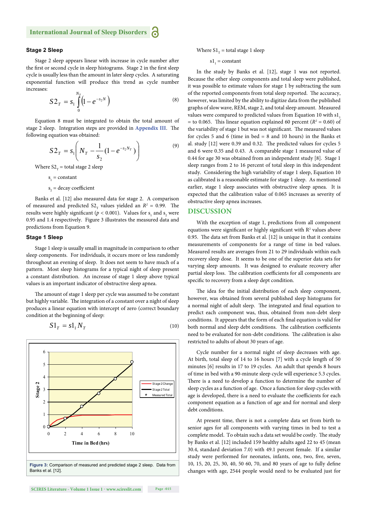#### **Stage 2 Sleep**

Stage 2 sleep appears linear with increase in cycle number after the first or second cycle in sleep histograms. Stage 2 in the first sleep cycle is usually less than the amount in later sleep cycles. A saturating exponential function will produce this trend as cycle number increases:

$$
S2_T = s_1 \int_0^{N_T} \left(1 - e^{-s_2 N}\right)
$$
 (8)

Equation 8 must be integrated to obtain the total amount of stage 2 sleep. Integration steps are provided in **Appendix III**. The following equation was obtained:

$$
S2_T = s_1 \left( N_T - \frac{1}{s_2} (1 - e^{-s_2 N_T}) \right)
$$
 (9)

Where  $S2<sub>T</sub>$  = total stage 2 sleep

 $s_1$  = constant

$$
s_2
$$
 = decay coefficient

Banks et al. [12] also measured data for stage 2. A comparison of measured and predicted  $S2$ <sub>T</sub> values yielded an  $R^2 = 0.99$ . The results were highly significant ( $p < 0.001$ ). Values for  $s_1$  and  $s_2$  were 0.95 and 1.4 respectively. Figure 3 illustrates the measured data and predictions from Equation 9.

#### **Stage 1 Sleep**

Stage 1 sleep is usually small in magnitude in comparison to other sleep components. For individuals, it occurs more or less randomly throughout an evening of sleep. It does not seem to have much of a pattern. Most sleep histograms for a typical night of sleep present a constant distribution. An increase of stage 1 sleep above typical values is an important indicator of obstructive sleep apnea.

The amount of stage 1 sleep per cycle was assumed to be constant but highly variable. The integration of a constant over a night of sleep produces a linear equation with intercept of zero (correct boundary condition at the beginning of sleep:

$$
S1_T = s1_1 N_T \tag{10}
$$



**Page -015** 

Where  $S1<sub>T</sub> =$  total stage 1 sleep

 $s1<sub>1</sub> = constant$ 

In the study by Banks et al. [12], stage 1 was not reported. Because the other sleep components and total sleep were published, it was possible to estimate values for stage 1 by subtracting the sum of the reported components from total sleep reported. The accuracy, however, was limited by the ability to digitize data from the published graphs of slow wave, REM, stage 2, and total sleep amount. Measured values were compared to predicted values from Equation 10 with s1,  $=$  to 0.065. This linear equation explained 60 percent ( $R<sup>2</sup> = 0.60$ ) of the variability of stage 1 but was not significant. The measured values for cycles 5 and 6 (time in bed  $= 8$  and 10 hours) in the Banks et al. study  $[12]$  were 0.39 and 0.32. The predicted values for cycles 5 and 6 were 0.35 and 0.43. A comparable stage 1 measured value of 0.44 for age 30 was obtained from an independent study [8]. Stage 1 sleep ranges from 2 to 16 percent of total sleep in this independent study. Considering the high variability of stage 1 sleep, Equation 10 as calibrated is a reasonable estimate for stage 1 sleep. As mentioned earlier, stage 1 sleep associates with obstructive sleep apnea. It is expected that the calibration value of 0.065 increases as severity of obstructive sleep apnea increases.

#### **DISCUSSION**

With the exception of stage 1, predictions from all component equations were significant or highly significant with  $R<sup>2</sup>$  values above 0.95. The data set from Banks et al. [12] is unique in that it contains measurements of components for a range of time in bed values. Measured results are averages from 21 to 29 individuals within each recovery sleep dose. It seems to be one of the superior data sets for varying sleep amounts. It was designed to evaluate recovery after partial sleep loss. The calibration coefficients for all components are specific to recovery from a sleep dept condition.

The idea for the initial distribution of each sleep component, however, was obtained from several published sleep histograms for a normal night of adult sleep. The integrated and final equation to predict each component was, thus, obtained from non-debt sleep conditions. It appears that the form of each final equation is valid for both normal and sleep debt conditions. The calibration coefficients need to be evaluated for non-debt conditions. The calibration is also restricted to adults of about 30 years of age.

Cycle number for a normal night of sleep decreases with age. At birth, total sleep of 14 to 16 hours [7] with a cycle length of 50 minutes [6] results in 17 to 19 cycles. An adult that spends 8 hours of time in bed with a 90-minute sleep cycle will experience 5.3 cycles. There is a need to develop a function to determine the number of sleep cycles as a function of age. Once a function for sleep cycles with age is developed, there is a need to evaluate the coefficients for each component equation as a function of age and for normal and sleep debt conditions.

At present time, there is not a complete data set from birth to senior ages for all components with varying times in bed to test a complete model. To obtain such a data set would be costly. The study by Banks et al. [12] included 159 healthy adults aged 22 to 45 (mean 30.4, standard deviation 7.0) with 49.1 percent female. If a similar study were performed for neonates, infants, one, two, five, seven, 10, 15, 20, 25, 30, 40, 50 60, 70, and 80 years of age to fully define changes with age, 2544 people would need to be evaluated just for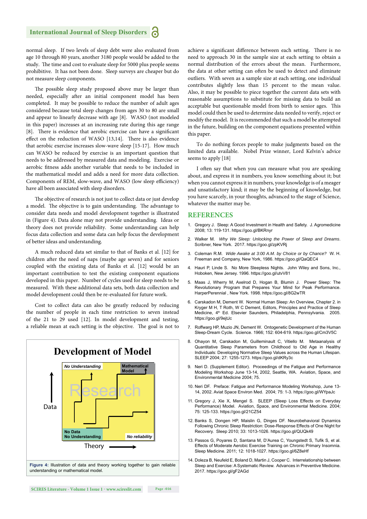normal sleep. If two levels of sleep debt were also evaluated from age 10 through 80 years, another 3180 people would be added to the study. The time and cost to evaluate sleep for 5000 plus people seems prohibitive. It has not been done. Sleep surveys are cheaper but do not measure sleep components.

The possible sleep study proposed above may be larger than needed, especially after an initial component model has been completed. It may be possible to reduce the number of adult ages considered because total sleep changes from ages 30 to 80 are small and appear to linearly decrease with age [8]. WASO (not modeled in this paper) increases at an increasing rate during this age range [8]. There is evidence that aerobic exercise can have a significant effect on the reduction of WASO [13,14]. There is also evidence that aerobic exercise increases slow-wave sleep [15-17]. How much can WASO be reduced by exercise is an important question that needs to be addressed by measured data and modeling. Exercise or aerobic fitness adds another variable that needs to be included in the mathematical model and adds a need for more data collection. Components of REM, slow-wave, and WASO (low sleep efficiency) have all been associated with sleep disorders.

The objective of research is not just to collect data or just develop a model. The objective is to gain understanding. The advantage to consider data needs and model development together is illustrated in (Figure 4). Data alone may not provide understanding. Ideas or theory does not provide reliability. Some understanding can help focus data collection and some data can help focus the development of better ideas and understanding.

A much reduced data set similar to that of Banks et al. [12] for children after the need of naps (maybe age seven) and for seniors coupled with the existing data of Banks et al. [12] would be an important contribution to test the existing component equations developed in this paper. Number of cycles used for sleep needs to be measured. With these additional data sets, both data collection and model development could then be re-evaluated for future work.

Cost to collect data can also be greatly reduced by reducing the number of people in each time restriction to seven instead of the 21 to 29 used [12]. In model development and testing, a reliable mean at each setting is the objective. The goal is not to



achieve a significant difference between each setting. There is no need to approach 30 in the sample size at each setting to obtain a normal distribution of the errors about the mean. Furthermore, the data at other setting can often be used to detect and eliminate outliers. With seven as a sample size at each setting, one individual contributes slightly less than 15 percent to the mean value. Also, it may be possible to piece together the current data sets with reasonable assumptions to substitute for missing data to build an acceptable but questionable model from birth to senior ages. This model could then be used to determine data needed to verify, reject or modify the model. It is recommended that such a model be attempted in the future, building on the component equations presented within this paper.

To do nothing forces people to make judgments based on the limited data available. Nobel Prize winner, Lord Kelvin's advice seems to apply [18]

I often say that when you can measure what you are speaking about, and express it in numbers, you know something about it; but when you cannot express it in numbers, your knowledge is of a meager and unsatisfactory kind; it may be the beginning of knowledge, but you have scarcely, in your thoughts, advanced to the stage of Science, whatever the matter may be.

#### **REFERENCES**

- 1. Gregory J. Sleep: A Good Investment in Health and Safety. J. Agromedicine 2008; 13: 119-131. https://goo.gl/BKRnyr
- 2. Walker M. *Why We Sleep: Unlocking the Power of Sleep and Dreams*. Scribner, New York. 2017. https://goo.gl/zpKVRj
- 3. Coleman R.M. *Wide Awake at 3:00 A.M. by Choice or by Chance?* W. H. Freeman and Company, New York, 1986. https://goo.gl/QaQEC4
- 4. Hauri P, Linde S. No More Sleepless Nights. John Wiley and Sons, Inc., Hoboken, New Jersey. 1996. https://goo.gl/utvV81
- 5. Maas J, Wherry M, Axelrod D, Hogan B, Blumin J. Power Sleep: The Revolutionary Program that Prepares Your Mind for Peak Performance. HarperPerennial , New York. 1998. https://goo.gl/8G2wTR
- 6. Carskadon M, Dement W. Normal Human Sleep: An Overview, Chapter 2. in Kryger M H, T Roth, W C Dement, Editors, Principles and Practice of Sleep Medicine, 4<sup>th</sup> Ed. Elsevier Saunders, Philadelphia, Pennsylvania. 2005. https://goo.gl/9ejtJc
- 7. Roffwarg HP, Muzio JN, Dement W. Ontogenetic Development of the Human Sleep-Dream Cycle. Science. 1966; 152: 604-619. https://goo.gl/Cm3V5C
- 8. Ohayon M, Carskadon M, Guilleminault C, Vitiello M. Metaanalysis of Quantitative Sleep Parameters from Childhood to Old Age in Healthy Individuals: Developing Normative Sleep Values across the Human Lifespan. SLEEP 2004; 27: 1255-1273. https://goo.gl/dKRy3c
- 9. Neri D. (Supplement Editor). Proceedings of the Fatigue and Performance Modeling Workshop June 13-14, 2002, Seattle, WA. Aviation, Space, and Environmental Medicine 2004; 75.
- 10. Neri DF. Preface: Fatigue and Performance Modeling Workshop, June 13- 14, 2002. Aviat Space Environ Med. 2004; 75: 1-3. https://goo.gl/WYpaJc
- 11. Gregory J, Xie X, Mengel S. SLEEP (Sleep Loss Effects on Everyday Performance) Model. Aviation, Space, and Environmental Medicine. 2004; 75: 125-133. https://goo.gl/21CZ54
- 12. Banks S, Dongen HP, Maislin G, Dinges DF. Neurobehavioral Dynamics Following Chronic Sleep Restriction: Dose-Response Effects of One Night for Recovery. Sleep 2010; 33: 1013-1026. https://goo.gl/QUQk49
- 13. Passos G, Poyares D, Santana M, D'Aurea C, Youngstedt S, Tufik S, et al. Effects of Moderate Aerobic Exercise Training on Chronic Primary Insomnia. Sleep Medicine. 2011; 12: 1018-1027. https://goo.gl/6Z8eHf
- 14. Doleza B, Neufeld E, Boland D, Martin J, Cooper C. Interrelationship between Sleep and Exercise: A Systematic Review. Advances in Preventive Medicine. 2017. https://goo.gl/gF2AGd